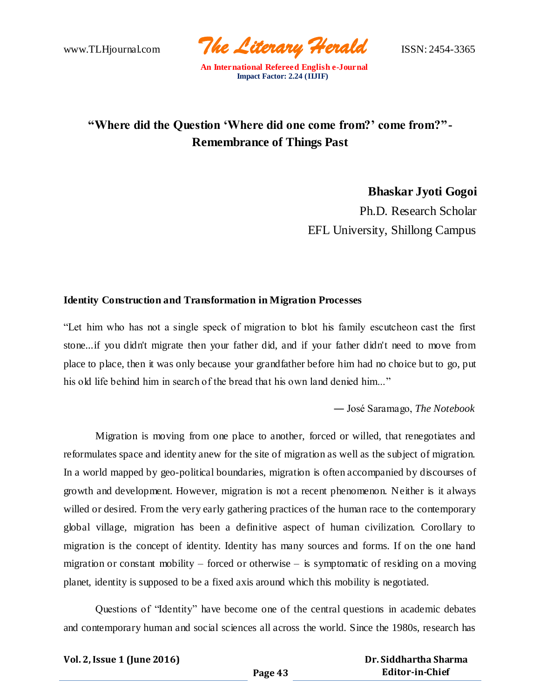www.TLHjournal.com *The Literary Herald*ISSN: 2454-3365

# **"Where did the Question 'Where did one come from?' come from?"- Remembrance of Things Past**

**Bhaskar Jyoti Gogoi** Ph.D. Research Scholar

EFL University, Shillong Campus

## **Identity Construction and Transformation in Migration Processes**

"Let him who has not a single speck of migration to blot his family escutcheon cast the first stone...if you didn't migrate then your father did, and if your father didn't need to move from place to place, then it was only because your grandfather before him had no choice but to go, put his old life behind him in search of the bread that his own land denied him..."

― José Saramago, *The Notebook*

Migration is moving from one place to another, forced or willed, that renegotiates and reformulates space and identity anew for the site of migration as well as the subject of migration. In a world mapped by geo-political boundaries, migration is often accompanied by discourses of growth and development. However, migration is not a recent phenomenon. Neither is it always willed or desired. From the very early gathering practices of the human race to the contemporary global village, migration has been a definitive aspect of human civilization. Corollary to migration is the concept of identity. Identity has many sources and forms. If on the one hand migration or constant mobility – forced or otherwise – is symptomatic of residing on a moving planet, identity is supposed to be a fixed axis around which this mobility is negotiated.

Questions of "Identity" have become one of the central questions in academic debates and contemporary human and social sciences all across the world. Since the 1980s, research has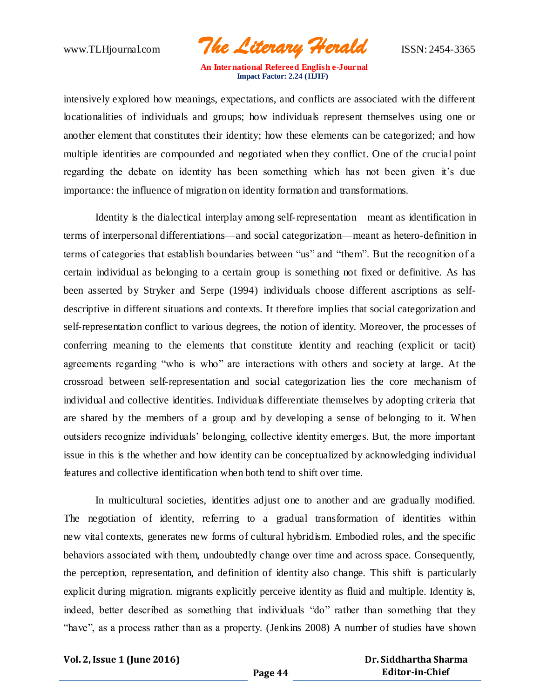www.TLHjournal.com *The Literary Herald*ISSN: 2454-3365

intensively explored how meanings, expectations, and conflicts are associated with the different locationalities of individuals and groups; how individuals represent themselves using one or another element that constitutes their identity; how these elements can be categorized; and how multiple identities are compounded and negotiated when they conflict. One of the crucial point regarding the debate on identity has been something which has not been given it's due importance: the influence of migration on identity formation and transformations.

Identity is the dialectical interplay among self-representation—meant as identification in terms of interpersonal differentiations—and social categorization—meant as hetero-definition in terms of categories that establish boundaries between "us" and "them". But the recognition of a certain individual as belonging to a certain group is something not fixed or definitive. As has been asserted by Stryker and Serpe (1994) individuals choose different ascriptions as selfdescriptive in different situations and contexts. It therefore implies that social categorization and self-representation conflict to various degrees, the notion of identity. Moreover, the processes of conferring meaning to the elements that constitute identity and reaching (explicit or tacit) agreements regarding "who is who" are interactions with others and society at large. At the crossroad between self-representation and social categorization lies the core mechanism of individual and collective identities. Individuals differentiate themselves by adopting criteria that are shared by the members of a group and by developing a sense of belonging to it. When outsiders recognize individuals' belonging, collective identity emerges. But, the more important issue in this is the whether and how identity can be conceptualized by acknowledging individual features and collective identification when both tend to shift over time.

In multicultural societies, identities adjust one to another and are gradually modified. The negotiation of identity, referring to a gradual transformation of identities within new vital contexts, generates new forms of cultural hybridism. Embodied roles, and the specific behaviors associated with them, undoubtedly change over time and across space. Consequently, the perception, representation, and definition of identity also change. This shift is particularly explicit during migration. migrants explicitly perceive identity as fluid and multiple. Identity is, indeed, better described as something that individuals "do" rather than something that they "have", as a process rather than as a property. (Jenkins 2008) A number of studies have shown

**Vol. 2, Issue 1 (June 2016)**

 **Dr. Siddhartha Sharma Editor-in-Chief**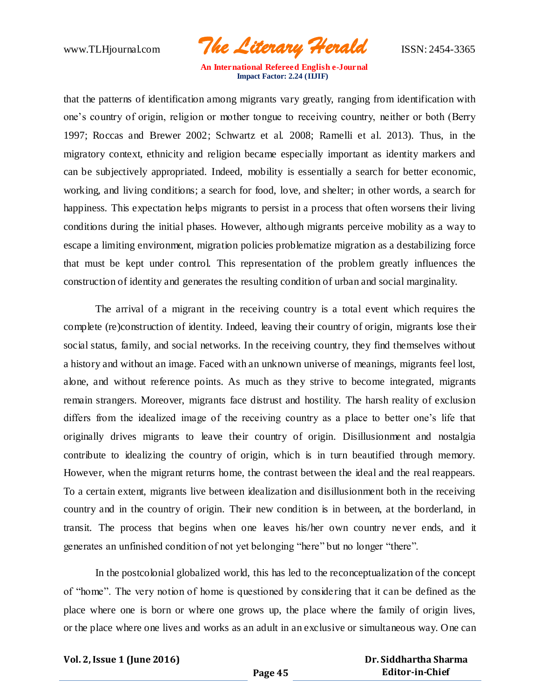www.TLHjournal.com *The Literary Herald*ISSN: 2454-3365

that the patterns of identification among migrants vary greatly, ranging from identification with one's country of origin, religion or mother tongue to receiving country, neither or both (Berry 1997; Roccas and Brewer 2002; Schwartz et al. 2008; Ramelli et al. 2013). Thus, in the migratory context, ethnicity and religion became especially important as identity markers and can be subjectively appropriated. Indeed, mobility is essentially a search for better economic, working, and living conditions; a search for food, love, and shelter; in other words, a search for happiness. This expectation helps migrants to persist in a process that often worsens their living conditions during the initial phases. However, although migrants perceive mobility as a way to escape a limiting environment, migration policies problematize migration as a destabilizing force that must be kept under control. This representation of the problem greatly influences the construction of identity and generates the resulting condition of urban and social marginality.

The arrival of a migrant in the receiving country is a total event which requires the complete (re)construction of identity. Indeed, leaving their country of origin, migrants lose their social status, family, and social networks. In the receiving country, they find themselves without a history and without an image. Faced with an unknown universe of meanings, migrants feel lost, alone, and without reference points. As much as they strive to become integrated, migrants remain strangers. Moreover, migrants face distrust and hostility. The harsh reality of exclusion differs from the idealized image of the receiving country as a place to better one's life that originally drives migrants to leave their country of origin. Disillusionment and nostalgia contribute to idealizing the country of origin, which is in turn beautified through memory. However, when the migrant returns home, the contrast between the ideal and the real reappears. To a certain extent, migrants live between idealization and disillusionment both in the receiving country and in the country of origin. Their new condition is in between, at the borderland, in transit. The process that begins when one leaves his/her own country never ends, and it generates an unfinished condition of not yet belonging "here" but no longer "there".

In the postcolonial globalized world, this has led to the reconceptualization of the concept of "home". The very notion of home is questioned by conside ring that it can be defined as the place where one is born or where one grows up, the place where the family of origin lives, or the place where one lives and works as an adult in an exclusive or simultaneous way. One can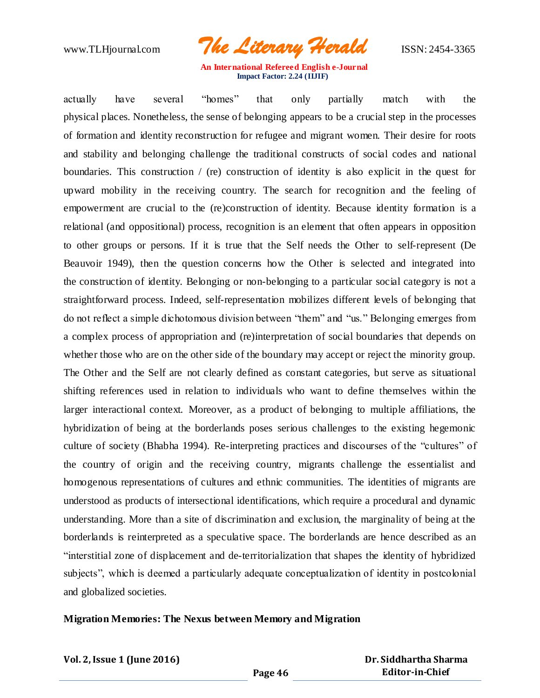

actually have several "homes" that only partially match with the physical places. Nonetheless, the sense of belonging appears to be a crucial step in the processes of formation and identity reconstruction for refugee and migrant women. Their desire for roots and stability and belonging challenge the traditional constructs of social codes and national boundaries. This construction  $/$  (re) construction of identity is also explicit in the quest for upward mobility in the receiving country. The search for recognition and the feeling of empowerment are crucial to the (re)construction of identity. Because identity formation is a relational (and oppositional) process, recognition is an element that often appears in opposition to other groups or persons. If it is true that the Self needs the Other to self-represent (De Beauvoir 1949), then the question concerns how the Other is selected and integrated into the construction of identity. Belonging or non-belonging to a particular social category is not a straightforward process. Indeed, self-representation mobilizes different levels of belonging that do not reflect a simple dichotomous division between "them" and "us." Belonging emerges from a complex process of appropriation and (re)interpretation of social boundaries that depends on whether those who are on the other side of the boundary may accept or reject the minority group. The Other and the Self are not clearly defined as constant categories, but serve as situational shifting references used in relation to individuals who want to define themselves within the larger interactional context. Moreover, as a product of belonging to multiple affiliations, the hybridization of being at the borderlands poses serious challenges to the existing hegemonic culture of society (Bhabha 1994). Re-interpreting practices and discourses of the "cultures" of the country of origin and the receiving country, migrants challenge the essentialist and homogenous representations of cultures and ethnic communities. The identities of migrants are understood as products of intersectional identifications, which require a procedural and dynamic understanding. More than a site of discrimination and exclusion, the marginality of being at the borderlands is reinterpreted as a speculative space. The borderlands are hence described as an "interstitial zone of displacement and de-territorialization that shapes the identity of hybridized subjects", which is deemed a particularly adequate conceptualization of identity in postcolonial and globalized societies.

#### **Migration Memories: The Nexus between Memory and Migration**

**Vol. 2, Issue 1 (June 2016)**

 **Dr. Siddhartha Sharma Editor-in-Chief**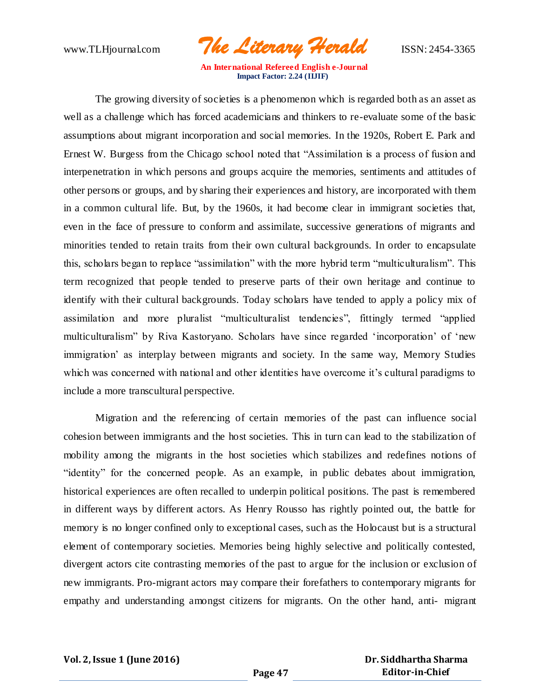www.TLHjournal.com *The Literary Herald*ISSN: 2454-3365

The growing diversity of societies is a phenomenon which is regarded both as an asset as well as a challenge which has forced academicians and thinkers to re-evaluate some of the basic assumptions about migrant incorporation and social memories. In the 1920s, Robert E. Park and Ernest W. Burgess from the Chicago school noted that "Assimilation is a process of fusion and interpenetration in which persons and groups acquire the memories, sentiments and attitudes of other persons or groups, and by sharing their experiences and history, are incorporated with them in a common cultural life. But, by the 1960s, it had become clear in immigrant societies that, even in the face of pressure to conform and assimilate, successive generations of migrants and minorities tended to retain traits from their own cultural backgrounds. In order to encapsulate this, scholars began to replace "assimilation" with the more hybrid term "multiculturalism". This term recognized that people tended to preserve parts of their own heritage and continue to identify with their cultural backgrounds. Today scholars have tended to apply a policy mix of assimilation and more pluralist "multiculturalist tendencies", fittingly termed "applied multiculturalism" by Riva Kastoryano. Scholars have since regarded 'incorporation' of 'new immigration' as interplay between migrants and society. In the same way, Memory Studies which was concerned with national and other identities have overcome it's cultural paradigms to include a more transcultural perspective.

 Migration and the referencing of certain memories of the past can influence social cohesion between immigrants and the host societies. This in turn can lead to the stabilization of mobility among the migrants in the host societies which stabilizes and redefines notions of "identity" for the concerned people. As an example, in public debates about immigration, historical experiences are often recalled to underpin political positions. The past is remembered in different ways by different actors. As Henry Rousso has rightly pointed out, the battle for memory is no longer confined only to exceptional cases, such as the Holocaust but is a structural element of contemporary societies. Memories being highly selective and politically contested, divergent actors cite contrasting memories of the past to argue for the inclusion or exclusion of new immigrants. Pro-migrant actors may compare their forefathers to contemporary migrants for empathy and understanding amongst citizens for migrants. On the other hand, anti- migrant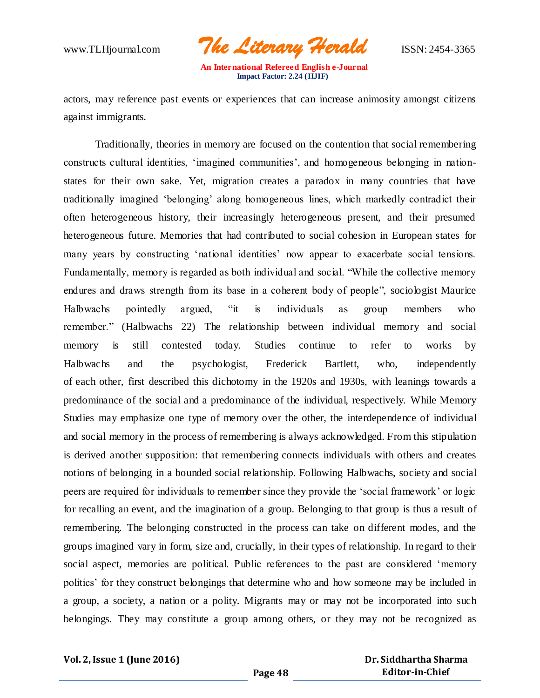www.TLHjournal.com *The Literary Herald*ISSN: 2454-3365

actors, may reference past events or experiences that can increase animosity amongst citizens against immigrants.

Traditionally, theories in memory are focused on the contention that social remembering constructs cultural identities, 'imagined communities', and homogeneous belonging in nationstates for their own sake. Yet, migration creates a paradox in many countries that have traditionally imagined 'belonging' along homogeneous lines, which markedly contradict their often heterogeneous history, their increasingly heterogeneous present, and their presumed heterogeneous future. Memories that had contributed to social cohesion in European states for many years by constructing 'national identities' now appear to exacerbate social tensions. Fundamentally, memory is regarded as both individual and social. "While the collective memory endures and draws strength from its base in a coherent body of people", sociologist Maurice Halbwachs pointedly argued, "it is individuals as group members who remember." (Halbwachs 22) The relationship between individual memory and social memory is still contested today. Studies continue to refer to works by Halbwachs and the psychologist, Frederick Bartlett, who, independently of each other, first described this dichotomy in the 1920s and 1930s, with leanings towards a predominance of the social and a predominance of the individual, respectively. While Memory Studies may emphasize one type of memory over the other, the interdependence of individual and social memory in the process of remembering is always acknowledged. From this stipulation is derived another supposition: that remembering connects individuals with others and creates notions of belonging in a bounded social relationship. Following Halbwachs, society and social peers are required for individuals to remember since they provide the 'social framework' or logic for recalling an event, and the imagination of a group. Belonging to that group is thus a result of remembering. The belonging constructed in the process can take on different modes, and the groups imagined vary in form, size and, crucially, in their types of relationship. In regard to their social aspect, memories are political. Public references to the past are considered 'memory politics' for they construct belongings that determine who and how someone may be included in a group, a society, a nation or a polity. Migrants may or may not be incorporated into such belongings. They may constitute a group among others, or they may not be recognized as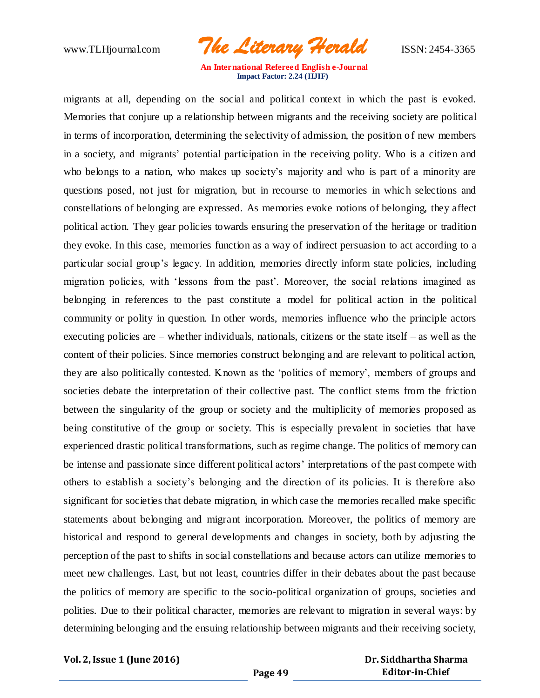www.TLHjournal.com *The Literary Herald*ISSN: 2454-3365

migrants at all, depending on the social and political context in which the past is evoked. Memories that conjure up a relationship between migrants and the receiving society are political in terms of incorporation, determining the selectivity of admission, the position of new members in a society, and migrants' potential participation in the receiving polity. Who is a citizen and who belongs to a nation, who makes up society's majority and who is part of a minority are questions posed, not just for migration, but in recourse to memories in which selections and constellations of belonging are expressed. As memories evoke notions of belonging, they affect political action. They gear policies towards ensuring the preservation of the heritage or tradition they evoke. In this case, memories function as a way of indirect persuasion to act according to a particular social group's legacy. In addition, memories directly inform state policies, including migration policies, with 'lessons from the past'. Moreover, the social relations imagined as belonging in references to the past constitute a model for political action in the political community or polity in question. In other words, memories influence who the principle actors executing policies are – whether individuals, nationals, citizens or the state itself – as well as the content of their policies. Since memories construct belonging and are relevant to political action, they are also politically contested. Known as the 'politics of memory', members of groups and societies debate the interpretation of their collective past. The conflict stems from the friction between the singularity of the group or society and the multiplicity of memories proposed as being constitutive of the group or society. This is especially prevalent in societies that have experienced drastic political transformations, such as regime change. The politics of memory can be intense and passionate since different political actors' interpretations of the past compete with others to establish a society's belonging and the direction of its policies. It is therefore also significant for societies that debate migration, in which case the memories recalled make specific statements about belonging and migrant incorporation. Moreover, the politics of memory are historical and respond to general developments and changes in society, both by adjusting the perception of the past to shifts in social constellations and because actors can utilize memories to meet new challenges. Last, but not least, countries differ in their debates about the past because the politics of memory are specific to the socio-political organization of groups, societies and polities. Due to their political character, memories are relevant to migration in several ways: by determining belonging and the ensuing relationship between migrants and their receiving society,

**Vol. 2, Issue 1 (June 2016)**

 **Dr. Siddhartha Sharma Editor-in-Chief**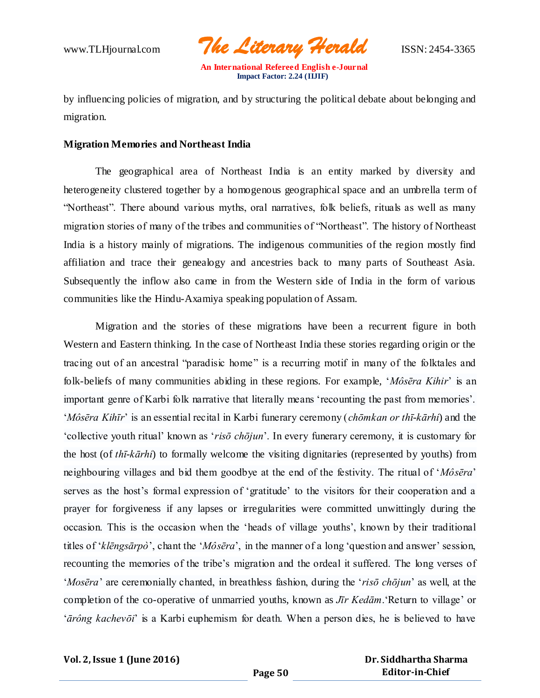www.TLHjournal.com *The Literary Herald*ISSN: 2454-3365

by influencing policies of migration, and by structuring the political debate about belonging and migration.

#### **Migration Memories and Northeast India**

The geographical area of Northeast India is an entity marked by diversity and heterogeneity clustered together by a homogenous geographical space and an umbrella term of "Northeast". There abound various myths, oral narratives, folk beliefs, rituals as well as many migration stories of many of the tribes and communities of "Northeast". The history of Northeast India is a history mainly of migrations. The indigenous communities of the region mostly find affiliation and trace their genealogy and ancestries back to many parts of Southeast Asia. Subsequently the inflow also came in from the Western side of India in the form of various communities like the Hindu-Axamiya speaking population of Assam.

Migration and the stories of these migrations have been a recurrent figure in both Western and Eastern thinking. In the case of Northeast India these stories regarding origin or the tracing out of an ancestral "paradisic home" is a recurring motif in many of the folktales and folk-beliefs of many communities abiding in these regions. For example, '*Môsēra Kihir*' is an important genre of Karbi folk narrative that literally means 'recounting the past from memories'. '*Môsēra Kihīr*' is an essential recital in Karbi funerary ceremony (*chōmkan or thī-kārhi*) and the 'collective youth ritual' known as '*risō chōjun*'. In every funerary ceremony, it is customary for the host (of *thī-kārhi*) to formally welcome the visiting dignitaries (represented by youths) from neighbouring villages and bid them goodbye at the end of the festivity. The ritual of '*Môsēra*' serves as the host's formal expression of 'gratitude' to the visitors for their cooperation and a prayer for forgiveness if any lapses or irregularities were committed unwittingly during the occasion. This is the occasion when the 'heads of village youths', known by their traditional titles of '*klēngsārpò*', chant the '*Môsēra*', in the manner of a long 'question and answer' session, recounting the memories of the tribe's migration and the ordeal it suffered. The long verses of '*Mosēra*' are ceremonially chanted, in breathless fashion, during the '*risō chōjun*' as well, at the completion of the co-operative of unmarried youths, known as *Jīr Kedām*.'Return to village' or '*ārông kachevōi*' is a Karbi euphemism for death. When a person dies, he is believed to have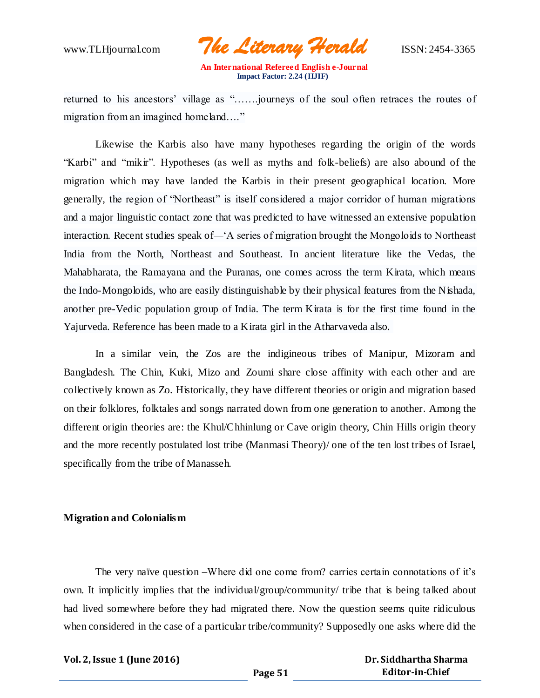www.TLHjournal.com *The Literary Herald*ISSN: 2454-3365

returned to his ancestors' village as "…….journeys of the soul often retraces the routes of migration from an imagined homeland…."

Likewise the Karbis also have many hypotheses regarding the origin of the words "Karbi" and "mikir". Hypotheses (as well as myths and folk-beliefs) are also abound of the migration which may have landed the Karbis in their present geographical location. More generally, the region of "Northeast" is itself considered a major corridor of human migrations and a major linguistic contact zone that was predicted to have witnessed an extensive population interaction. Recent studies speak of*—*'A series of migration brought the Mongoloids to Northeast India from the North, Northeast and Southeast. In ancient literature like the Vedas, the Mahabharata, the Ramayana and the Puranas, one comes across the term Kirata, which means the Indo-Mongoloids, who are easily distinguishable by their physical features from the Nishada, another pre-Vedic population group of India. The term Kirata is for the first time found in the Yajurveda. Reference has been made to a Kirata girl in the Atharvaveda also.

In a similar vein, the Zos are the indigineous tribes of Manipur, Mizoram and Bangladesh. The Chin, Kuki, Mizo and Zoumi share close affinity with each other and are collectively known as Zo. Historically, they have different theories or origin and migration based on their folklores, folktales and songs narrated down from one generation to another. Among the different origin theories are: the Khul/Chhinlung or Cave origin theory, Chin Hills origin theory and the more recently postulated lost tribe (Manmasi Theory)/ one of the ten lost tribes of Israel, specifically from the tribe of Manasseh.

#### **Migration and Colonialism**

The very naïve question –Where did one come from? carries certain connotations of it's own. It implicitly implies that the individual/group/community/ tribe that is being talked about had lived somewhere before they had migrated there. Now the question seems quite ridiculous when considered in the case of a particular tribe/community? Supposedly one asks where did the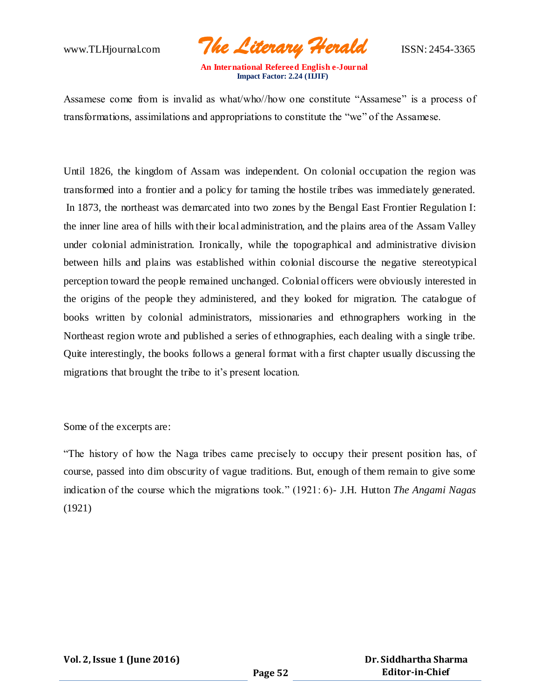www.TLHjournal.com *The Literary Herald*ISSN: 2454-3365

Assamese come from is invalid as what/who//how one constitute "Assamese" is a process of transformations, assimilations and appropriations to constitute the "we" of the Assamese.

Until 1826, the kingdom of Assam was independent. On colonial occupation the region was transformed into a frontier and a policy for taming the hostile tribes was immediately generated. In 1873, the northeast was demarcated into two zones by the Bengal East Frontier Regulation I: the inner line area of hills with their local administration, and the plains area of the Assam Valley under colonial administration. Ironically, while the topographical and administrative division between hills and plains was established within colonial discourse the negative stereotypical perception toward the people remained unchanged. Colonial officers were obviously interested in the origins of the people they administered, and they looked for migration. The catalogue of books written by colonial administrators, missionaries and ethnographers working in the Northeast region wrote and published a series of ethnographies, each dealing with a single tribe. Quite interestingly, the books follows a general format with a first chapter usually discussing the migrations that brought the tribe to it's present location.

Some of the excerpts are:

"The history of how the Naga tribes came precisely to occupy their present position has, of course, passed into dim obscurity of vague traditions. But, enough of them remain to give some indication of the course which the migrations took." (1921: 6)- J.H. Hutton *The Angami Nagas*  (1921)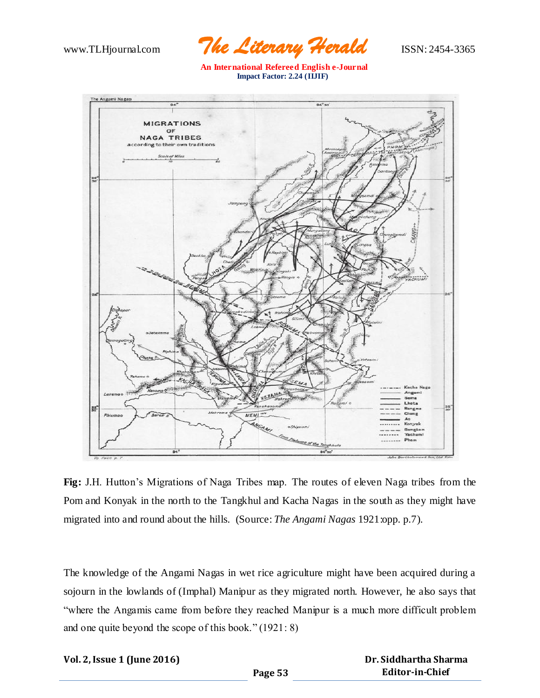

 **An International Refereed English e-Journal Impact Factor: 2.24 (IIJIF)**



**Fig:** J.H. Hutton's Migrations of Naga Tribes map. The routes of eleven Naga tribes from the Pom and Konyak in the north to the Tangkhul and Kacha Nagas in the south as they might have migrated into and round about the hills. (Source: *The Angami Nagas* 1921:opp. p.7).

The knowledge of the Angami Nagas in wet rice agriculture might have been acquired during a sojourn in the lowlands of (Imphal) Manipur as they migrated north. However, he also says that "where the Angamis came from before they reached Manipur is a much more difficult problem and one quite beyond the scope of this book." (1921: 8)

| Vol. 2, Issue 1 (June 2016) |  |  |  |  |  |
|-----------------------------|--|--|--|--|--|
|-----------------------------|--|--|--|--|--|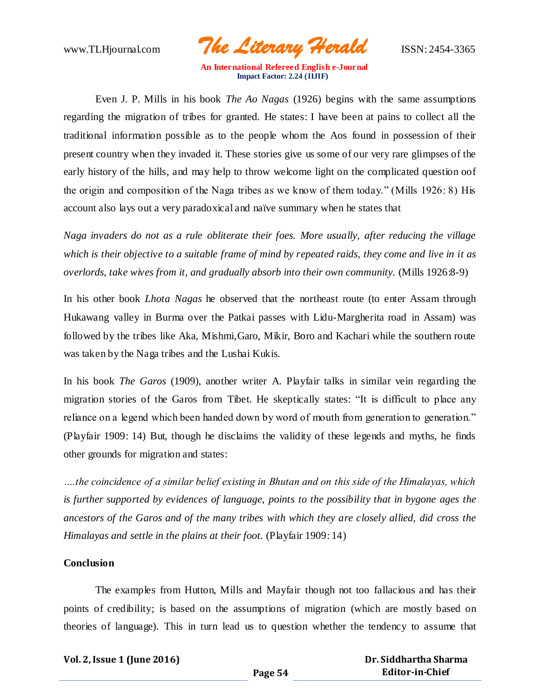

Even J. P. Mills in his book *The Ao Nagas* (1926) begins with the same assumptions regarding the migration of tribes for granted. He states: I have been at pains to collect all the traditional information possible as to the people whom the Aos found in possession of their present country when they invaded it. These stories give us some of our very rare glimpses of the early history of the hills, and may help to throw welcome light on the complicated question oof the origin and composition of the Naga tribes as we know of them today." (Mills 1926: 8) His account also lays out a very paradoxical and naïve summary when he states that

*Naga invaders do not as a rule obliterate their foes. More usually, after reducing the village which is their objective to a suitable frame of mind by repeated raids, they come and live in it as overlords, take wives from it, and gradually absorb into their own community.* (Mills 1926:8-9)

In his other book *Lhota Nagas* he observed that the northeast route (to enter Assam through Hukawang valley in Burma over the Patkai passes with Lidu-Margherita road in Assam) was followed by the tribes like Aka, Mishmi,Garo, Mikir, Boro and Kachari while the southern route was taken by the Naga tribes and the Lushai Kukis.

In his book *The Garos* (1909), another writer A. Playfair talks in similar vein regarding the migration stories of the Garos from Tibet. He skeptically states: "It is difficult to place any reliance on a legend which been handed down by word of mouth from generation to generation." (Playfair 1909: 14) But, though he disclaims the validity of these legends and myths, he finds other grounds for migration and states:

*….the coincidence of a similar belief existing in Bhutan and on this side of the Himalayas, which is further supported by evidences of language, points to the possibility that in bygone ages the ancestors of the Garos and of the many tribes with which they are closely allied, did cross the Himalayas and settle in the plains at their foot.* (Playfair 1909: 14)

## **Conclusion**

The examples from Hutton, Mills and Mayfair though not too fallacious and has their points of credibility; is based on the assumptions of migration (which are mostly based on theories of language). This in turn lead us to question whether the tendency to assume that